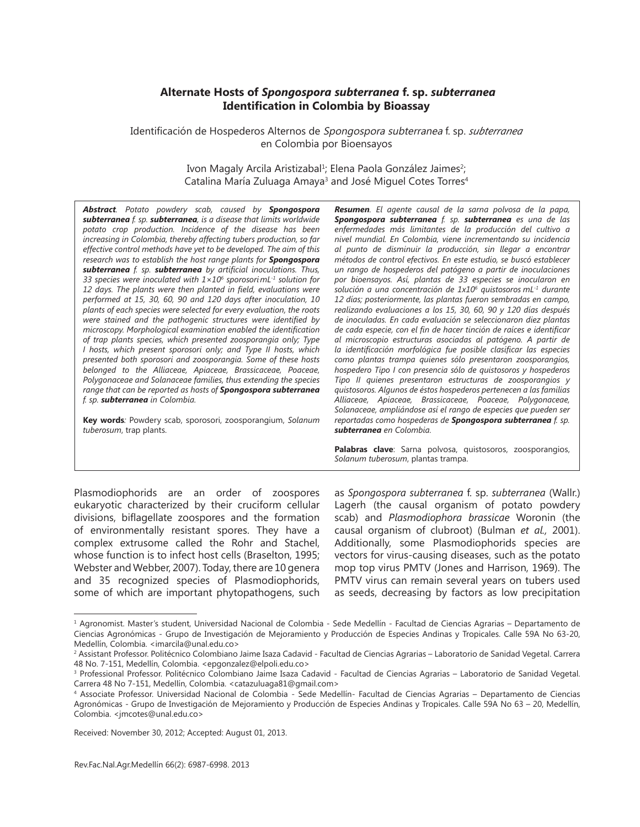# **Alternate Hosts of** *Spongospora subterranea* **f. sp.** *subterranea* **Identification in Colombia by Bioassay**

Identificación de Hospederos Alternos de Spongospora subterranea f. sp. *subterranea* en Colombia por Bioensayos

> Ivon Magaly Arcila Aristizabal<sup>1</sup>; Elena Paola González Jaimes<sup>2</sup>; Catalina María Zuluaga Amaya<sup>3</sup> and José Miguel Cotes Torres<sup>4</sup>

*Abstract. Potato powdery scab, caused by Spongospora subterranea f. sp. subterranea, is a disease that limits worldwide potato crop production. Incidence of the disease has been increasing in Colombia, thereby affecting tubers production, so far effective control methods have yet to be developed. The aim of this research was to establish the host range plants for Spongospora subterranea f. sp. subterranea by artificial inoculations. Thus,*  33 species were inoculated with  $1\times10^6$  sporosorimL<sup>-1</sup> solution for *12 days. The plants were then planted in field, evaluations were performed at 15, 30, 60, 90 and 120 days after inoculation, 10 plants of each species were selected for every evaluation, the roots were stained and the pathogenic structures were identified by microscopy. Morphological examination enabled the identification of trap plants species, which presented zoosporangia only; Type I hosts, which present sporosori only; and Type II hosts, which presented both sporosori and zoosporangia. Some of these hosts belonged to the Alliaceae, Apiaceae, Brassicaceae, Poaceae, Polygonaceae and Solanaceae families, thus extending the species range that can be reported as hosts of Spongospora subterranea f. sp. subterranea in Colombia.*

**Key words***:* Powdery scab, sporosori, zoosporangium, *Solanum tuberosum*, trap plants.

*Resumen. El agente causal de la sarna polvosa de la papa, Spongospora subterranea f. sp. subterranea es una de las enfermedades más limitantes de la producción del cultivo a nivel mundial. En Colombia, viene incrementando su incidencia al punto de disminuir la producción, sin llegar a encontrar métodos de control efectivos. En este estudio, se buscó establecer un rango de hospederos del patógeno a partir de inoculaciones por bioensayos. Así, plantas de 33 especies se inocularon en solución a una concentración de 1x106 quistosoros mL-1 durante 12 días; posteriormente, las plantas fueron sembradas en campo, realizando evaluaciones a los 15, 30, 60, 90 y 120 días después de inoculadas. En cada evaluación se seleccionaron diez plantas de cada especie, con el fin de hacer tinción de raíces e identificar al microscopio estructuras asociadas al patógeno. A partir de la identificación morfológica fue posible clasificar las especies como plantas trampa quienes sólo presentaron zoosporangios, hospedero Tipo I con presencia sólo de quistosoros y hospederos Tipo II quienes presentaron estructuras de zoosporangios y quistosoros. Algunos de éstos hospederos pertenecen a las familias Alliaceae, Apiaceae, Brassicaceae, Poaceae, Polygonaceae, Solanaceae, ampliándose así el rango de especies que pueden ser reportadas como hospederas de Spongospora subterranea f. sp. subterranea en Colombia.*

**Palabras clave**: Sarna polvosa, quistosoros, zoosporangios, *Solanum tuberosum*, plantas trampa.

Plasmodiophorids are an order of zoospores eukaryotic characterized by their cruciform cellular divisions, biflagellate zoospores and the formation of environmentally resistant spores. They have a complex extrusome called the Rohr and Stachel, whose function is to infect host cells (Braselton, 1995; Webster and Webber, 2007). Today, there are 10 genera and 35 recognized species of Plasmodiophorids, some of which are important phytopathogens, such as *Spongospora subterranea* f. sp. *subterranea* (Wallr.) Lagerh (the causal organism of potato powdery scab) and *Plasmodiophora brassicae* Woronin (the causal organism of clubroot) (Bulman *et al.,* 2001). Additionally, some Plasmodiophorids species are vectors for virus-causing diseases, such as the potato mop top virus PMTV (Jones and Harrison, 1969). The PMTV virus can remain several years on tubers used as seeds, decreasing by factors as low precipitation

Received: November 30, 2012; Accepted: August 01, 2013.

<sup>1</sup> Agronomist. Master's student, Universidad Nacional de Colombia - Sede Medellín - Facultad de Ciencias Agrarias – Departamento de Ciencias Agronómicas - Grupo de Investigación de Mejoramiento y Producción de Especies Andinas y Tropicales. Calle 59A No 63-20, Medellín, Colombia. <imarcila@unal.edu.co>

<sup>2</sup> Assistant Professor. Politécnico Colombiano Jaime Isaza Cadavid - Facultad de Ciencias Agrarias – Laboratorio de Sanidad Vegetal. Carrera 48 No. 7-151, Medellín, Colombia. <epgonzalez@elpoli.edu.co>

<sup>3</sup> Professional Professor. Politécnico Colombiano Jaime Isaza Cadavid - Facultad de Ciencias Agrarias – Laboratorio de Sanidad Vegetal. Carrera 48 No 7-151, Medellín, Colombia. <catazuluaga81@gmail.com>

<sup>4</sup> Associate Professor. Universidad Nacional de Colombia - Sede Medellín- Facultad de Ciencias Agrarias – Departamento de Ciencias Agronómicas - Grupo de Investigación de Mejoramiento y Producción de Especies Andinas y Tropicales. Calle 59A No 63 – 20, Medellín, Colombia. <jmcotes@unal.edu.co>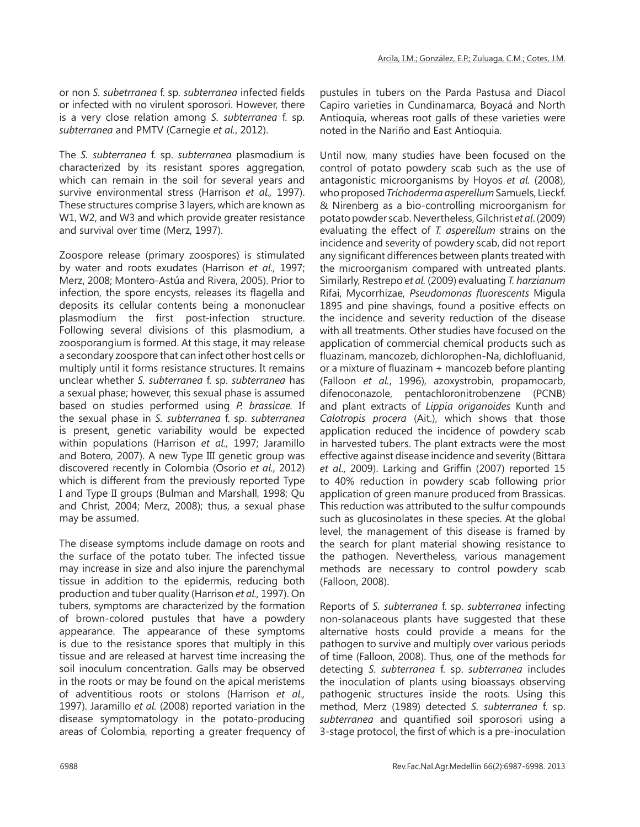or non *S. subetrranea* f. sp*. subterranea* infected fields or infected with no virulent sporosori. However, there is a very close relation among *S. subterranea* f. sp*. subterranea* and PMTV (Carnegie *et al.*, 2012).

The *S. subterranea* f. sp. *subterranea* plasmodium is characterized by its resistant spores aggregation, which can remain in the soil for several years and survive environmental stress (Harrison *et al.,* 1997). These structures comprise 3 layers, which are known as W1, W2, and W3 and which provide greater resistance and survival over time (Merz, 1997).

Zoospore release (primary zoospores) is stimulated by water and roots exudates (Harrison *et al.,* 1997; Merz, 2008; Montero-Astúa and Rivera, 2005). Prior to infection, the spore encysts, releases its flagella and deposits its cellular contents being a mononuclear plasmodium the first post-infection structure. Following several divisions of this plasmodium, a zoosporangium is formed. At this stage, it may release a secondary zoospore that can infect other host cells or multiply until it forms resistance structures. It remains unclear whether *S. subterranea* f. sp. *subterranea* has a sexual phase; however, this sexual phase is assumed based on studies performed using *P. brassicae.* If the sexual phase in *S. subterranea* f. sp. *subterranea*  is present, genetic variability would be expected within populations (Harrison *et al.,* 1997; Jaramillo and Botero*,* 2007). A new Type III genetic group was discovered recently in Colombia (Osorio *et al.,* 2012) which is different from the previously reported Type I and Type II groups (Bulman and Marshall, 1998; Qu and Christ, 2004; Merz, 2008); thus, a sexual phase may be assumed.

The disease symptoms include damage on roots and the surface of the potato tuber. The infected tissue may increase in size and also injure the parenchymal tissue in addition to the epidermis, reducing both production and tuber quality (Harrison *et al.,* 1997). On tubers, symptoms are characterized by the formation of brown-colored pustules that have a powdery appearance. The appearance of these symptoms is due to the resistance spores that multiply in this tissue and are released at harvest time increasing the soil inoculum concentration. Galls may be observed in the roots or may be found on the apical meristems of adventitious roots or stolons (Harrison *et al.,*  1997). Jaramillo *et al.* (2008) reported variation in the disease symptomatology in the potato-producing areas of Colombia, reporting a greater frequency of pustules in tubers on the Parda Pastusa and Diacol Capiro varieties in Cundinamarca, Boyacá and North Antioquia, whereas root galls of these varieties were noted in the Nariño and East Antioquia.

Until now, many studies have been focused on the control of potato powdery scab such as the use of antagonistic microorganisms by Hoyos *et al.* (2008), who proposed *Trichoderma asperellum* Samuels, Lieckf. & Nirenberg as a bio-controlling microorganism for potato powder scab. Nevertheless, Gilchrist *et al*. (2009) evaluating the effect of *T. asperellum* strains on the incidence and severity of powdery scab, did not report any significant differences between plants treated with the microorganism compared with untreated plants. Similarly, Restrepo *et al.* (2009) evaluating *T. harzianum* Rifai, Mycorrhizae, *Pseudomonas fluorescents* Migula 1895 and pine shavings, found a positive effects on the incidence and severity reduction of the disease with all treatments. Other studies have focused on the application of commercial chemical products such as fluazinam, mancozeb, dichlorophen-Na, dichlofluanid, or a mixture of fluazinam + mancozeb before planting (Falloon *et al.*, 1996), azoxystrobin, propamocarb, difenoconazole, pentachloronitrobenzene (PCNB) and plant extracts of *Lippia origanoides* Kunth and *Calotropis procera* (Ait.), which shows that those application reduced the incidence of powdery scab in harvested tubers. The plant extracts were the most effective against disease incidence and severity (Bittara *et al*., 2009). Larking and Griffin (2007) reported 15 to 40% reduction in powdery scab following prior application of green manure produced from Brassicas. This reduction was attributed to the sulfur compounds such as glucosinolates in these species. At the global level, the management of this disease is framed by the search for plant material showing resistance to the pathogen. Nevertheless, various management methods are necessary to control powdery scab (Falloon, 2008).

Reports of *S. subterranea* f. sp. *subterranea* infecting non-solanaceous plants have suggested that these alternative hosts could provide a means for the pathogen to survive and multiply over various periods of time (Falloon, 2008). Thus, one of the methods for detecting *S. subterranea* f. sp. *subterranea* includes the inoculation of plants using bioassays observing pathogenic structures inside the roots. Using this method, Merz (1989) detected *S. subterranea* f. sp. *subterranea* and quantified soil sporosori using a 3-stage protocol, the first of which is a pre-inoculation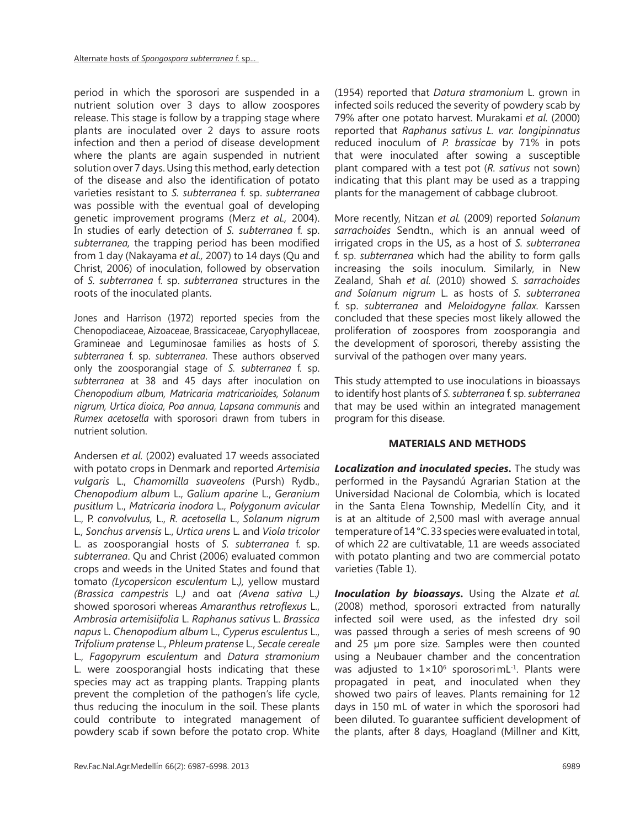period in which the sporosori are suspended in a nutrient solution over 3 days to allow zoospores release. This stage is follow by a trapping stage where plants are inoculated over 2 days to assure roots infection and then a period of disease development where the plants are again suspended in nutrient solution over 7 days. Using this method, early detection of the disease and also the identification of potato varieties resistant to *S. subterranea* f. sp. *subterranea*  was possible with the eventual goal of developing genetic improvement programs (Merz *et al.,* 2004). In studies of early detection of *S. subterranea* f. sp. *subterranea,* the trapping period has been modified from 1 day (Nakayama *et al.,* 2007) to 14 days (Qu and Christ, 2006) of inoculation, followed by observation of *S. subterranea* f. sp. *subterranea* structures in the roots of the inoculated plants.

Jones and Harrison (1972) reported species from the Chenopodiaceae, Aizoaceae, Brassicaceae, Caryophyllaceae, Gramineae and Leguminosae families as hosts of *S. subterranea* f. sp. *subterranea*. These authors observed only the zoosporangial stage of *S. subterranea* f. sp. *subterranea* at 38 and 45 days after inoculation on *Chenopodium album, Matricaria matricarioides, Solanum nigrum, Urtica dioica, Poa annua, Lapsana communis* and *Rumex acetosella* with sporosori drawn from tubers in nutrient solution.

Andersen *et al.* (2002) evaluated 17 weeds associated with potato crops in Denmark and reported *Artemisia vulgaris* L., *Chamomilla suaveolens* (Pursh) Rydb., *Chenopodium album* L., *Galium aparine* L., *Geranium pusitlum* L., *Matricaria inodora* L., *Polygonum avicular*  L., P. *convolvulus,* L., *R. acetosella* L., *Solanum nigrum*  L*., Sonchus arvensis* L., *Urtica urens* L. and *Viola tricolor*  L. as zoosporangial hosts of *S. subterranea* f. sp. *subterranea*. Qu and Christ (2006) evaluated common crops and weeds in the United States and found that tomato *(Lycopersicon esculentum* L.*),* yellow mustard *(Brassica campestris* L.*)* and oat *(Avena sativa* L.*)*  showed sporosori whereas *Amaranthus retroflexus* L., *Ambrosia artemisiifolia* L. *Raphanus sativus* L. *Brassica napus* L. *Chenopodium album* L., *Cyperus esculentus* L., *Trifolium pratense* L., *Phleum pratense* L., *Secale cereale*  L., *Fagopyrum esculentum* and *Datura stramonium*  L. were zoosporangial hosts indicating that these species may act as trapping plants. Trapping plants prevent the completion of the pathogen's life cycle, thus reducing the inoculum in the soil. These plants could contribute to integrated management of powdery scab if sown before the potato crop. White

(1954) reported that *Datura stramonium* L. grown in infected soils reduced the severity of powdery scab by 79% after one potato harvest. Murakami *et al.* (2000) reported that *Raphanus sativus L. var. longipinnatus*  reduced inoculum of *P. brassicae* by 71% in pots that were inoculated after sowing a susceptible plant compared with a test pot (*R. sativus* not sown) indicating that this plant may be used as a trapping plants for the management of cabbage clubroot.

More recently, Nitzan *et al.* (2009) reported *Solanum sarrachoides* Sendtn., which is an annual weed of irrigated crops in the US, as a host of *S. subterranea*  f. sp. *subterranea* which had the ability to form galls increasing the soils inoculum. Similarly, in New Zealand, Shah *et al.* (2010) showed *S. sarrachoides and Solanum nigrum* L. as hosts of *S. subterranea*  f. sp. *subterranea* and *Meloidogyne fallax.* Karssen concluded that these species most likely allowed the proliferation of zoospores from zoosporangia and the development of sporosori, thereby assisting the survival of the pathogen over many years.

This study attempted to use inoculations in bioassays to identify host plants of *S. subterranea* f. sp. *subterranea* that may be used within an integrated management program for this disease.

# **MATERIALS AND METHODS**

**Localization and inoculated species.** The study was performed in the Paysandú Agrarian Station at the Universidad Nacional de Colombia, which is located in the Santa Elena Township, Medellín City, and it is at an altitude of 2,500 masl with average annual temperature of 14 °C. 33 species were evaluated in total, of which 22 are cultivatable, 11 are weeds associated with potato planting and two are commercial potato varieties (Table 1).

*Inoculation by bioassays***.** Using the Alzate *et al.* (2008) method, sporosori extracted from naturally infected soil were used, as the infested dry soil was passed through a series of mesh screens of 90 and 25 µm pore size. Samples were then counted using a Neubauer chamber and the concentration was adjusted to  $1 \times 10^6$  sporosorimL<sup>-1</sup>. Plants were propagated in peat, and inoculated when they showed two pairs of leaves. Plants remaining for 12 days in 150 mL of water in which the sporosori had been diluted. To guarantee sufficient development of the plants, after 8 days, Hoagland (Millner and Kitt,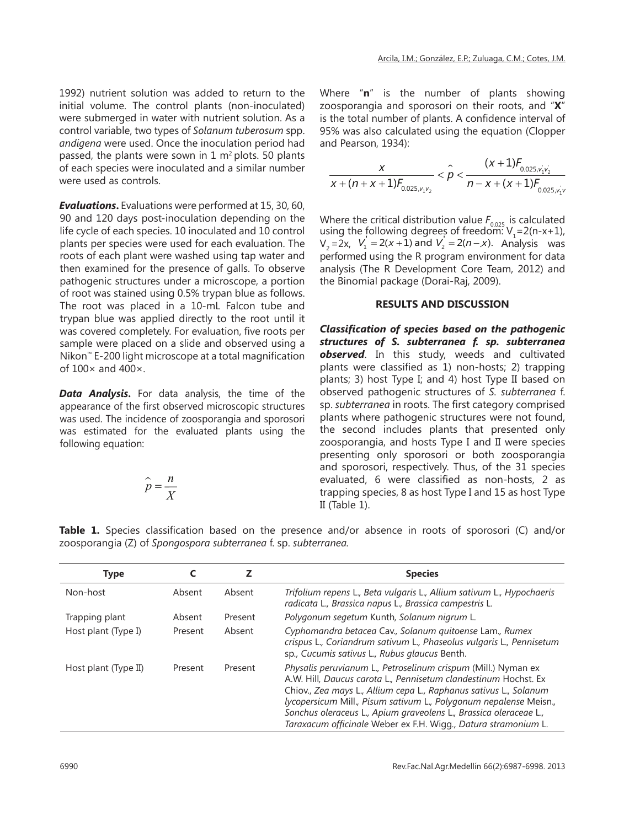1992) nutrient solution was added to return to the initial volume. The control plants (non-inoculated) were submerged in water with nutrient solution. As a control variable, two types of *Solanum tuberosum* spp. *andigena* were used. Once the inoculation period had passed, the plants were sown in  $1 \text{ m}^2$  plots. 50 plants of each species were inoculated and a similar number were used as controls.

*Evaluations***.** Evaluations were performed at 15, 30, 60, 90 and 120 days post-inoculation depending on the life cycle of each species. 10 inoculated and 10 control plants per species were used for each evaluation. The roots of each plant were washed using tap water and then examined for the presence of galls. To observe pathogenic structures under a microscope, a portion of root was stained using 0.5% trypan blue as follows. The root was placed in a 10-mL Falcon tube and trypan blue was applied directly to the root until it was covered completely. For evaluation, five roots per sample were placed on a slide and observed using a Nikon™ E-200 light microscope at a total magnification of 100× and 400×.

*Data Analysis***.** For data analysis, the time of the appearance of the first observed microscopic structures was used. The incidence of zoosporangia and sporosori was estimated for the evaluated plants using the following equation:

$$
\hat{p} = \frac{n}{X}
$$

Where "**n**" is the number of plants showing zoosporangia and sporosori on their roots, and "**X**" is the total number of plants. A confidence interval of 95% was also calculated using the equation (Clopper and Pearson, 1934):

$$
\frac{x}{x + (n + x + 1)f_{0.025,v_1v_2}} < \hat{p} < \frac{(x + 1)f_{0.025,v_1v_2}}{n - x + (x + 1)f_{0.025,v_1v_2}}
$$

Where the critical distribution value  $F_{0.025}$  is calculated using the following degrees of freedom:  $V_1 = 2(n-x+1)$ ,  $V_2 = 2x$ ,  $V_1 = 2(x+1)$  and  $V_2 = 2(n-x)$ . Analysis was performed using the R program environment for data analysis (The R Development Core Team, 2012) and the Binomial package (Dorai-Raj, 2009).

#### **RESULTS AND DISCUSSION**

*Classification of species based on the pathogenic structures of S. subterranea f. sp. subterranea observed*. In this study, weeds and cultivated plants were classified as 1) non-hosts; 2) trapping plants; 3) host Type I; and 4) host Type II based on observed pathogenic structures of *S. subterranea* f. sp. *subterranea* in roots. The first category comprised plants where pathogenic structures were not found, the second includes plants that presented only zoosporangia, and hosts Type I and II were species presenting only sporosori or both zoosporangia and sporosori, respectively. Thus, of the 31 species evaluated, 6 were classified as non-hosts, 2 as trapping species, 8 as host Type I and 15 as host Type II (Table 1).

|  | <b>Table 1.</b> Species classification based on the presence and/or absence in roots of sporosori (C) and/or |  |  |  |  |  |  |
|--|--------------------------------------------------------------------------------------------------------------|--|--|--|--|--|--|
|  | zoosporangia (Z) of Spongospora subterranea f. sp. subterranea.                                              |  |  |  |  |  |  |

| <b>Type</b>          |         |         | <b>Species</b>                                                                                                                                                                                                                                                                                                                                                                                                    |
|----------------------|---------|---------|-------------------------------------------------------------------------------------------------------------------------------------------------------------------------------------------------------------------------------------------------------------------------------------------------------------------------------------------------------------------------------------------------------------------|
| Non-host             | Absent  | Absent  | Trifolium repens L., Beta vulgaris L., Allium sativum L., Hypochaeris<br>radicata L., Brassica napus L., Brassica campestris L.                                                                                                                                                                                                                                                                                   |
| Trapping plant       | Absent  | Present | Polygonum segetum Kunth, Solanum nigrum L.                                                                                                                                                                                                                                                                                                                                                                        |
| Host plant (Type I)  | Present | Absent  | Cyphomandra betacea Cav., Solanum quitoense Lam., Rumex<br>crispus L., Coriandrum sativum L., Phaseolus vulgaris L., Pennisetum<br>sp., Cucumis sativus L., Rubus glaucus Benth.                                                                                                                                                                                                                                  |
| Host plant (Type II) | Present | Present | Physalis peruvianum L., Petroselinum crispum (Mill.) Nyman ex<br>A.W. Hill, Daucus carota L., Pennisetum clandestinum Hochst. Ex<br>Chiov., Zea mays L., Allium cepa L., Raphanus sativus L., Solanum<br>lycopersicum Mill., Pisum sativum L., Polygonum nepalense Meisn.,<br>Sonchus oleraceus L., Apium graveolens L., Brassica oleraceae L.,<br>Taraxacum officinale Weber ex F.H. Wigg., Datura stramonium L. |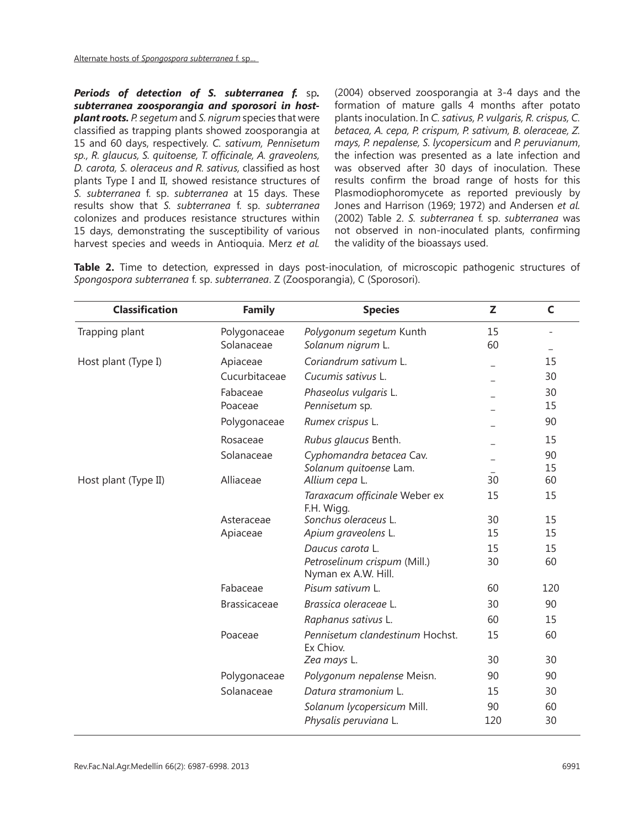*Periods of detection of S. subterranea f.* sp*. subterranea zoosporangia and sporosori in hostplant roots. P. segetum* and *S. nigrum* species that were classified as trapping plants showed zoosporangia at 15 and 60 days, respectively. *C. sativum, Pennisetum sp., R. glaucus, S. quitoense, T. officinale, A. graveolens, D. carota, S. oleraceus and R. sativus,* classified as host plants Type I and II, showed resistance structures of *S. subterranea* f. sp. *subterranea* at 15 days. These results show that *S. subterranea* f. sp. *subterranea*  colonizes and produces resistance structures within 15 days, demonstrating the susceptibility of various harvest species and weeds in Antioquia. Merz *et al.* 

(2004) observed zoosporangia at 3-4 days and the formation of mature galls 4 months after potato plants inoculation. In *C. sativus, P. vulgaris, R. crispus, C. betacea, A. cepa, P. crispum, P. sativum, B. oleraceae, Z. mays, P. nepalense, S. lycopersicum* and *P. peruvianum*, the infection was presented as a late infection and was observed after 30 days of inoculation. These results confirm the broad range of hosts for this Plasmodiophoromycete as reported previously by Jones and Harrison (1969; 1972) and Andersen *et al.*  (2002) Table 2. *S. subterranea* f. sp. *subterranea* was not observed in non-inoculated plants, confirming the validity of the bioassays used.

**Table 2.** Time to detection, expressed in days post-inoculation, of microscopic pathogenic structures of *Spongospora subterranea* f. sp. *subterranea*. Z (Zoosporangia), C (Sporosori).

| <b>Classification</b> | <b>Family</b>       | <b>Species</b>                                      | Z   | $\mathsf{C}$ |
|-----------------------|---------------------|-----------------------------------------------------|-----|--------------|
| Trapping plant        | Polygonaceae        | Polygonum segetum Kunth                             | 15  |              |
|                       | Solanaceae          | Solanum nigrum L.                                   | 60  |              |
| Host plant (Type I)   | Apiaceae            | Coriandrum sativum L.                               |     | 15           |
|                       | Cucurbitaceae       | Cucumis sativus L.                                  |     | 30           |
|                       | Fabaceae            | Phaseolus vulgaris L.                               |     | 30           |
|                       | Poaceae             | Pennisetum sp.                                      |     | 15           |
|                       | Polygonaceae        | Rumex crispus L.                                    |     | 90           |
|                       | Rosaceae            | Rubus glaucus Benth.                                |     | 15           |
|                       | Solanaceae          | Cyphomandra betacea Cav.                            |     | 90           |
|                       |                     | Solanum quitoense Lam.                              |     | 15           |
| Host plant (Type II)  | Alliaceae           | Allium cepa L.                                      | 30  | 60           |
|                       |                     | Taraxacum officinale Weber ex<br>F.H. Wigg.         | 15  | 15           |
|                       | Asteraceae          | Sonchus oleraceus L.                                | 30  | 15           |
|                       | Apiaceae            | Apium graveolens L.                                 | 15  | 15           |
|                       |                     | Daucus carota L.                                    | 15  | 15           |
|                       |                     | Petroselinum crispum (Mill.)<br>Nyman ex A.W. Hill. | 30  | 60           |
|                       | Fabaceae            | Pisum sativum L.                                    | 60  | 120          |
|                       | <b>Brassicaceae</b> | Brassica oleraceae L.                               | 30  | 90           |
|                       |                     | Raphanus sativus L.                                 | 60  | 15           |
|                       | Poaceae             | Pennisetum clandestinum Hochst.<br>Ex Chiov.        | 15  | 60           |
|                       |                     | Zea mays L.                                         | 30  | 30           |
|                       | Polygonaceae        | Polygonum nepalense Meisn.                          | 90  | 90           |
|                       | Solanaceae          | Datura stramonium L.                                | 15  | 30           |
|                       |                     | Solanum lycopersicum Mill.                          | 90  | 60           |
|                       |                     | Physalis peruviana L.                               | 120 | 30           |
|                       |                     |                                                     |     |              |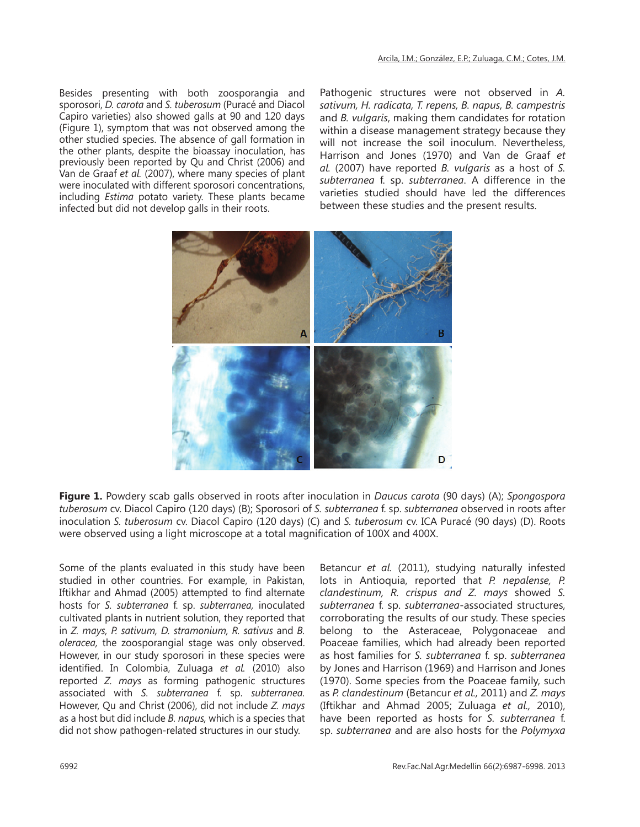Besides presenting with both zoosporangia and sporosori, *D. carota* and *S. tuberosum* (Puracé and Diacol Capiro varieties) also showed galls at 90 and 120 days (Figure 1), symptom that was not observed among the other studied species. The absence of gall formation in the other plants, despite the bioassay inoculation, has previously been reported by Qu and Christ (2006) and Van de Graaf *et al.* (2007), where many species of plant were inoculated with different sporosori concentrations, including *Estima* potato variety. These plants became infected but did not develop galls in their roots.

Pathogenic structures were not observed in *A. sativum, H. radicata, T. repens, B. napus, B. campestris* and *B. vulgaris*, making them candidates for rotation within a disease management strategy because they will not increase the soil inoculum. Nevertheless, Harrison and Jones (1970) and Van de Graaf *et al.* (2007) have reported *B. vulgaris* as a host of *S. subterranea* f. sp. *subterranea*. A difference in the varieties studied should have led the differences between these studies and the present results.



**Figure 1.** Powdery scab galls observed in roots after inoculation in *Daucus carota* (90 days) (A); *Spongospora tuberosum* cv. Diacol Capiro (120 days) (B); Sporosori of *S. subterranea* f. sp. *subterranea* observed in roots after inoculation *S. tuberosum* cv. Diacol Capiro (120 days) (C) and *S. tuberosum* cv. ICA Puracé (90 days) (D). Roots were observed using a light microscope at a total magnification of 100X and 400X.

Some of the plants evaluated in this study have been studied in other countries. For example, in Pakistan, Iftikhar and Ahmad (2005) attempted to find alternate hosts for *S. subterranea* f. sp. *subterranea,* inoculated cultivated plants in nutrient solution, they reported that in *Z. mays, P. sativum, D. stramonium, R. sativus* and *B. oleracea,* the zoosporangial stage was only observed. However, in our study sporosori in these species were identified. In Colombia, Zuluaga *et al.* (2010) also reported *Z. mays* as forming pathogenic structures associated with *S. subterranea* f. sp. *subterranea.*  However, Qu and Christ (2006), did not include *Z. mays* as a host but did include *B. napus,* which is a species that did not show pathogen-related structures in our study.

Betancur *et al.* (2011), studying naturally infested lots in Antioquia, reported that *P. nepalense, P. clandestinum, R. crispus and Z. mays* showed *S. subterranea* f. sp. *subterranea*-associated structures, corroborating the results of our study. These species belong to the Asteraceae, Polygonaceae and Poaceae families, which had already been reported as host families for *S. subterranea* f. sp. *subterranea*  by Jones and Harrison (1969) and Harrison and Jones (1970). Some species from the Poaceae family, such as *P. clandestinum* (Betancur *et al.,* 2011) and *Z. mays*  (Iftikhar and Ahmad 2005; Zuluaga *et al.,* 2010), have been reported as hosts for *S. subterranea* f. sp. *subterranea* and are also hosts for the *Polymyxa*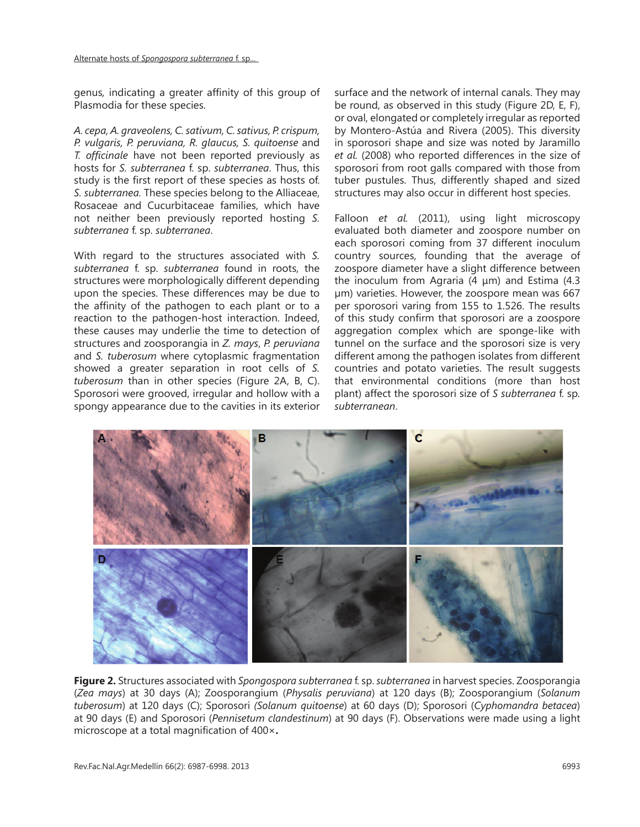genus*,* indicating a greater affinity of this group of Plasmodia for these species.

*A. cepa, A. graveolens, C. sativum, C. sativus, P. crispum, P. vulgaris, P. peruviana, R. glaucus, S. quitoense* and *T. officinale* have not been reported previously as hosts for *S. subterranea* f. sp. *subterranea*. Thus, this study is the first report of these species as hosts of. *S. subterranea.* These species belong to the Alliaceae, Rosaceae and Cucurbitaceae families, which have not neither been previously reported hosting *S. subterranea* f. sp. *subterranea*.

With regard to the structures associated with *S. subterranea* f. sp. *subterranea* found in roots, the structures were morphologically different depending upon the species. These differences may be due to the affinity of the pathogen to each plant or to a reaction to the pathogen-host interaction. Indeed, these causes may underlie the time to detection of structures and zoosporangia in *Z. mays*, *P. peruviana* and *S. tuberosum* where cytoplasmic fragmentation showed a greater separation in root cells of *S. tuberosum* than in other species (Figure 2A, B, C). Sporosori were grooved, irregular and hollow with a spongy appearance due to the cavities in its exterior

surface and the network of internal canals. They may be round, as observed in this study (Figure 2D, E, F), or oval, elongated or completely irregular as reported by Montero-Astúa and Rivera (2005). This diversity in sporosori shape and size was noted by Jaramillo *et al.* (2008) who reported differences in the size of sporosori from root galls compared with those from tuber pustules. Thus, differently shaped and sized structures may also occur in different host species.

Falloon *et al.* (2011), using light microscopy evaluated both diameter and zoospore number on each sporosori coming from 37 different inoculum country sources, founding that the average of zoospore diameter have a slight difference between the inoculum from Agraria (4 μm) and Estima (4.3 µm) varieties. However, the zoospore mean was 667 per sporosori varing from 155 to 1.526. The results of this study confirm that sporosori are a zoospore aggregation complex which are sponge-like with tunnel on the surface and the sporosori size is very different among the pathogen isolates from different countries and potato varieties. The result suggests that environmental conditions (more than host plant) affect the sporosori size of *S subterranea* f. sp*. subterranean*.



**Figure 2.** Structures associated with *Spongospora subterranea* f. sp. *subterranea* in harvest species. Zoosporangia (*Zea mays*) at 30 days (A); Zoosporangium (*Physalis peruviana*) at 120 days (B); Zoosporangium (*Solanum tuberosum*) at 120 days (C); Sporosori *(Solanum quitoense*) at 60 days (D); Sporosori (*Cyphomandra betacea*) at 90 days (E) and Sporosori (*Pennisetum clandestinum*) at 90 days (F). Observations were made using a light microscope at a total magnification of 400×**.**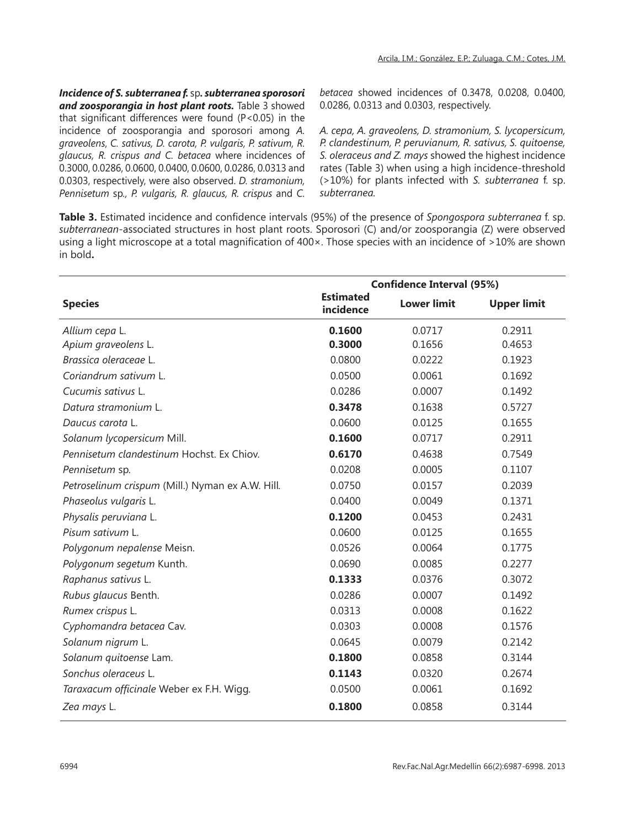*Incidence of S. subterranea f.* sp*. subterranea sporosori and zoosporangia in host plant roots.* Table 3 showed that significant differences were found (P<0.05) in the incidence of zoosporangia and sporosori among *A. graveolens*, *C. sativus, D. carota, P. vulgaris, P. sativum, R. glaucus, R. crispus and C. betacea* where incidences of 0.3000, 0.0286, 0.0600, 0.0400, 0.0600, 0.0286, 0.0313 and 0.0303, respectively, were also observed. *D. stramonium, Pennisetum* sp*., P. vulgaris, R. glaucus, R. crispus* and *C.* 

*betacea* showed incidences of 0.3478, 0.0208, 0.0400, 0.0286, 0.0313 and 0.0303, respectively.

*A. cepa, A. graveolens, D. stramonium, S. lycopersicum, P. clandestinum, P. peruvianum, R. sativus, S. quitoense, S. oleraceus and Z. mays* showed the highest incidence rates (Table 3) when using a high incidence-threshold (>10%) for plants infected with *S. subterranea* f. sp. *subterranea.*

**Table 3.** Estimated incidence and confidence intervals (95%) of the presence of *Spongospora subterranea* f. sp. *subterranean*-associated structures in host plant roots. Sporosori (C) and/or zoosporangia (Z) were observed using a light microscope at a total magnification of 400×. Those species with an incidence of >10% are shown in bold**.**

|                                                  | <b>Confidence Interval (95%)</b> |                    |                    |  |  |
|--------------------------------------------------|----------------------------------|--------------------|--------------------|--|--|
| <b>Species</b>                                   | <b>Estimated</b><br>incidence    | <b>Lower limit</b> | <b>Upper limit</b> |  |  |
| Allium cepa L.                                   | 0.1600                           | 0.0717             | 0.2911             |  |  |
| Apium graveolens L.                              | 0.3000                           | 0.1656             | 0.4653             |  |  |
| Brassica oleraceae L.                            | 0.0800                           | 0.0222             | 0.1923             |  |  |
| Coriandrum sativum L.                            | 0.0500                           | 0.0061             | 0.1692             |  |  |
| Cucumis sativus L.                               | 0.0286                           | 0.0007             | 0.1492             |  |  |
| Datura stramonium L.                             | 0.3478                           | 0.1638             | 0.5727             |  |  |
| Daucus carota L.                                 | 0.0600                           | 0.0125             | 0.1655             |  |  |
| Solanum lycopersicum Mill.                       | 0.1600                           | 0.0717             | 0.2911             |  |  |
| Pennisetum clandestinum Hochst. Ex Chiov.        | 0.6170                           | 0.4638             | 0.7549             |  |  |
| Pennisetum sp.                                   | 0.0208                           | 0.0005             | 0.1107             |  |  |
| Petroselinum crispum (Mill.) Nyman ex A.W. Hill. | 0.0750                           | 0.0157             | 0.2039             |  |  |
| Phaseolus vulgaris L.                            | 0.0400                           | 0.0049             | 0.1371             |  |  |
| Physalis peruviana L.                            | 0.1200                           | 0.0453             | 0.2431             |  |  |
| Pisum sativum L.                                 | 0.0600                           | 0.0125             | 0.1655             |  |  |
| Polygonum nepalense Meisn.                       | 0.0526                           | 0.0064             | 0.1775             |  |  |
| Polygonum segetum Kunth.                         | 0.0690                           | 0.0085             | 0.2277             |  |  |
| Raphanus sativus L.                              | 0.1333                           | 0.0376             | 0.3072             |  |  |
| Rubus glaucus Benth.                             | 0.0286                           | 0.0007             | 0.1492             |  |  |
| Rumex crispus L.                                 | 0.0313                           | 0.0008             | 0.1622             |  |  |
| Cyphomandra betacea Cav.                         | 0.0303                           | 0.0008             | 0.1576             |  |  |
| Solanum nigrum L.                                | 0.0645                           | 0.0079             | 0.2142             |  |  |
| Solanum quitoense Lam.                           | 0.1800                           | 0.0858             | 0.3144             |  |  |
| Sonchus oleraceus L.                             | 0.1143                           | 0.0320             | 0.2674             |  |  |
| Taraxacum officinale Weber ex F.H. Wigg.         | 0.0500                           | 0.0061             | 0.1692             |  |  |
| Zea mays L.                                      | 0.1800                           | 0.0858             | 0.3144             |  |  |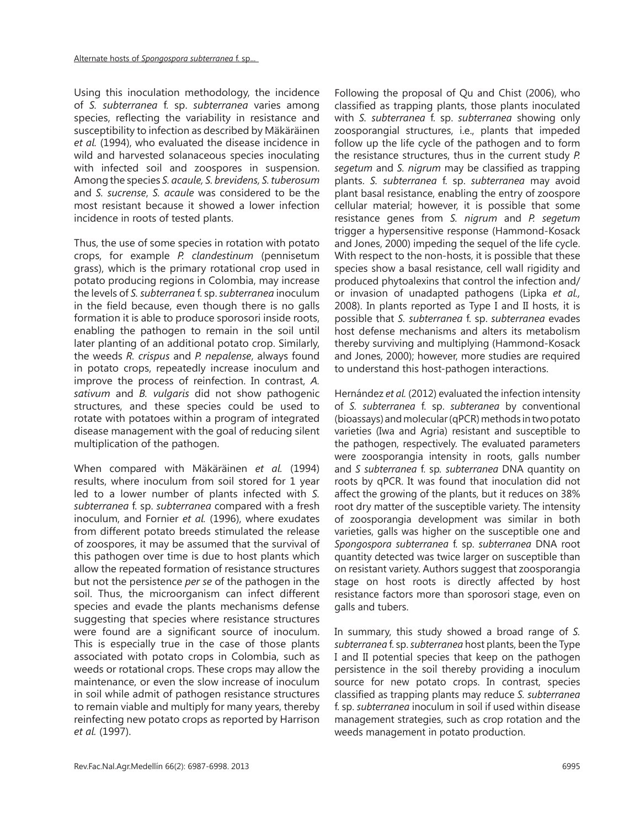Using this inoculation methodology, the incidence of *S. subterranea* f. sp. *subterranea* varies among species, reflecting the variability in resistance and susceptibility to infection as described by Mäkäräinen *et al.* (1994), who evaluated the disease incidence in wild and harvested solanaceous species inoculating with infected soil and zoospores in suspension. Among the species *S. acaule, S. brevidens, S. tuberosum* and *S. sucrense*, *S. acaule* was considered to be the most resistant because it showed a lower infection incidence in roots of tested plants.

Thus, the use of some species in rotation with potato crops, for example *P. clandestinum* (pennisetum grass), which is the primary rotational crop used in potato producing regions in Colombia, may increase the levels of *S. subterranea* f. sp. *subterranea* inoculum in the field because, even though there is no galls formation it is able to produce sporosori inside roots, enabling the pathogen to remain in the soil until later planting of an additional potato crop. Similarly, the weeds *R. crispus* and *P. nepalense*, always found in potato crops, repeatedly increase inoculum and improve the process of reinfection. In contrast, *A. sativum* and *B. vulgaris* did not show pathogenic structures, and these species could be used to rotate with potatoes within a program of integrated disease management with the goal of reducing silent multiplication of the pathogen.

When compared with Mäkäräinen *et al.* (1994) results, where inoculum from soil stored for 1 year led to a lower number of plants infected with *S. subterranea* f. sp. *subterranea* compared with a fresh inoculum, and Fornier *et al.* (1996), where exudates from different potato breeds stimulated the release of zoospores, it may be assumed that the survival of this pathogen over time is due to host plants which allow the repeated formation of resistance structures but not the persistence *per se* of the pathogen in the soil. Thus, the microorganism can infect different species and evade the plants mechanisms defense suggesting that species where resistance structures were found are a significant source of inoculum. This is especially true in the case of those plants associated with potato crops in Colombia, such as weeds or rotational crops. These crops may allow the maintenance, or even the slow increase of inoculum in soil while admit of pathogen resistance structures to remain viable and multiply for many years, thereby reinfecting new potato crops as reported by Harrison *et al.* (1997).

Following the proposal of Qu and Chist (2006), who classified as trapping plants, those plants inoculated with *S. subterranea* f. sp. *subterranea* showing only zoosporangial structures, i.e., plants that impeded follow up the life cycle of the pathogen and to form the resistance structures, thus in the current study *P. segetum* and *S. nigrum* may be classified as trapping plants. *S. subterranea* f. sp. *subterranea* may avoid plant basal resistance, enabling the entry of zoospore cellular material; however, it is possible that some resistance genes from *S. nigrum* and *P. segetum*  trigger a hypersensitive response (Hammond-Kosack and Jones, 2000) impeding the sequel of the life cycle. With respect to the non-hosts, it is possible that these species show a basal resistance, cell wall rigidity and produced phytoalexins that control the infection and/ or invasion of unadapted pathogens (Lipka *et al.,* 2008). In plants reported as Type I and II hosts, it is possible that *S. subterranea* f. sp. *subterranea* evades host defense mechanisms and alters its metabolism thereby surviving and multiplying (Hammond-Kosack and Jones, 2000); however, more studies are required to understand this host-pathogen interactions.

Hernández *et al.* (2012) evaluated the infection intensity of *S. subterranea* f. sp. *subteranea* by conventional (bioassays) and molecular (qPCR) methods in two potato varieties (Iwa and Agria) resistant and susceptible to the pathogen, respectively. The evaluated parameters were zoosporangia intensity in roots, galls number and *S subterranea* f. sp*. subterranea* DNA quantity on roots by qPCR. It was found that inoculation did not affect the growing of the plants, but it reduces on 38% root dry matter of the susceptible variety. The intensity of zoosporangia development was similar in both varieties, galls was higher on the susceptible one and *Spongospora subterranea* f. sp. *subterranea* DNA root quantity detected was twice larger on susceptible than on resistant variety. Authors suggest that zoosporangia stage on host roots is directly affected by host resistance factors more than sporosori stage, even on galls and tubers.

In summary, this study showed a broad range of *S. subterranea* f. sp. *subterranea* host plants, been the Type I and II potential species that keep on the pathogen persistence in the soil thereby providing a inoculum source for new potato crops. In contrast, species classified as trapping plants may reduce *S. subterranea*  f. sp. *subterranea* inoculum in soil if used within disease management strategies, such as crop rotation and the weeds management in potato production.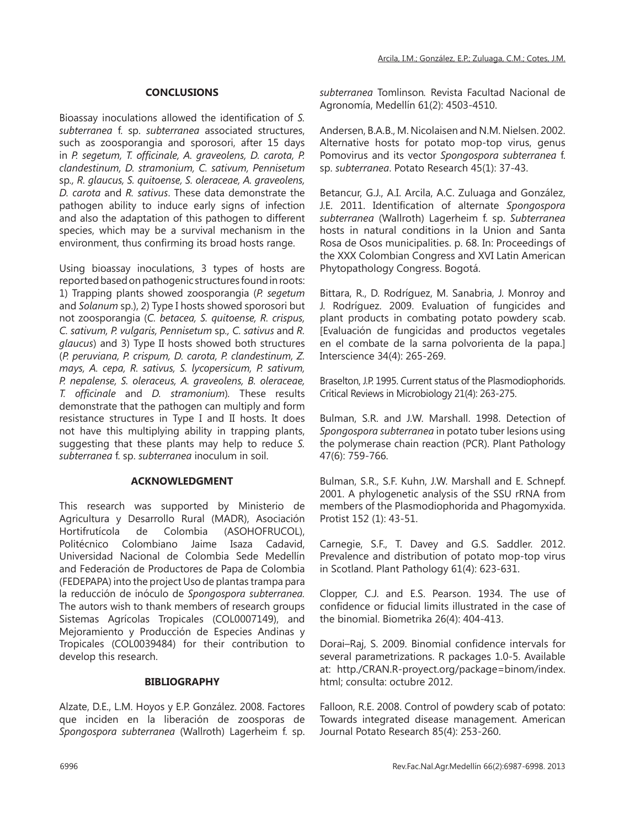# **CONCLUSIONS**

Bioassay inoculations allowed the identification of *S. subterranea* f. sp. *subterranea* associated structures, such as zoosporangia and sporosori, after 15 days in *P. segetum, T. officinale, A. graveolens, D. carota, P. clandestinum, D. stramonium, C. sativum, Pennisetum*  sp*., R. glaucus, S. quitoense, S. oleraceae, A. graveolens, D. carota* and *R. sativus*. These data demonstrate the pathogen ability to induce early signs of infection and also the adaptation of this pathogen to different species, which may be a survival mechanism in the environment, thus confirming its broad hosts range.

Using bioassay inoculations, 3 types of hosts are reported based on pathogenic structures found in roots: 1) Trapping plants showed zoosporangia (*P. segetum*  and *Solanum* sp.), 2) Type I hosts showed sporosori but not zoosporangia (*C. betacea, S. quitoense, R. crispus, C. sativum, P. vulgaris, Pennisetum* sp*., C. sativus* and *R. glaucus*) and 3) Type II hosts showed both structures (*P. peruviana, P. crispum, D. carota, P. clandestinum, Z. mays, A. cepa, R. sativus, S. lycopersicum, P. sativum, P. nepalense, S. oleraceus, A. graveolens, B. oleraceae, T. officinale* and *D. stramonium*)*.* These results demonstrate that the pathogen can multiply and form resistance structures in Type I and II hosts. It does not have this multiplying ability in trapping plants, suggesting that these plants may help to reduce *S. subterranea* f. sp. *subterranea* inoculum in soil.

# **ACKNOWLEDGMENT**

This research was supported by Ministerio de Agricultura y Desarrollo Rural (MADR), Asociación Hortifrutícola de Colombia (ASOHOFRUCOL), Politécnico Colombiano Jaime Isaza Cadavid, Universidad Nacional de Colombia Sede Medellín and Federación de Productores de Papa de Colombia (FEDEPAPA) into the project Uso de plantas trampa para la reducción de inóculo de *Spongospora subterranea.* The autors wish to thank members of research groups Sistemas Agrícolas Tropicales (COL0007149), and Mejoramiento y Producción de Especies Andinas y Tropicales (COL0039484) for their contribution to develop this research.

# **BIBLIOGRAPHY**

Alzate, D.E., L.M. Hoyos y E.P. González. 2008. Factores que inciden en la liberación de zoosporas de *Spongospora subterranea* (Wallroth) Lagerheim f. sp. *subterranea* Tomlinson*.* Revista Facultad Nacional de Agronomía, Medellín 61(2): 4503-4510.

Andersen, B.A.B., M. Nicolaisen and N.M. Nielsen. 2002. Alternative hosts for potato mop-top virus, genus Pomovirus and its vector *Spongospora subterranea* f. sp. *subterranea*. Potato Research 45(1): 37-43.

Betancur, G.J., A.I. Arcila, A.C. Zuluaga and González, J.E. 2011. Identification of alternate *Spongospora subterranea* (Wallroth) Lagerheim f. sp. *Subterranea*  hosts in natural conditions in la Union and Santa Rosa de Osos municipalities. p. 68. In: Proceedings of the XXX Colombian Congress and XVI Latin American Phytopathology Congress. Bogotá.

Bittara, R., D. Rodríguez, M. Sanabria, J. Monroy and J. Rodríguez. 2009. Evaluation of fungicides and plant products in combating potato powdery scab. [Evaluación de fungicidas and productos vegetales en el combate de la sarna polvorienta de la papa.] Interscience 34(4): 265-269.

Braselton, J.P. 1995. Current status of the Plasmodiophorids. Critical Reviews in Microbiology 21(4): 263-275.

Bulman, S.R. and J.W. Marshall. 1998. Detection of *Spongospora subterranea* in potato tuber lesions using the polymerase chain reaction (PCR). Plant Pathology 47(6): 759-766.

Bulman, S.R., S.F. Kuhn, J.W. Marshall and E. Schnepf. 2001. A phylogenetic analysis of the SSU rRNA from members of the Plasmodiophorida and Phagomyxida. Protist 152 (1): 43-51.

Carnegie, S.F., T. Davey and G.S. Saddler. 2012. Prevalence and distribution of potato mop-top virus in Scotland. Plant Pathology 61(4): 623-631.

Clopper, C.J. and E.S. Pearson. 1934. The use of confidence or fiducial limits illustrated in the case of the binomial. Biometrika 26(4): 404-413.

Dorai–Raj, S. 2009. Binomial confidence intervals for several parametrizations. R packages 1.0-5. Available at: http./CRAN.R-proyect.org/package=binom/index. html; consulta: octubre 2012.

Falloon, R.E. 2008. Control of powdery scab of potato: Towards integrated disease management. American Journal Potato Research 85(4): 253-260.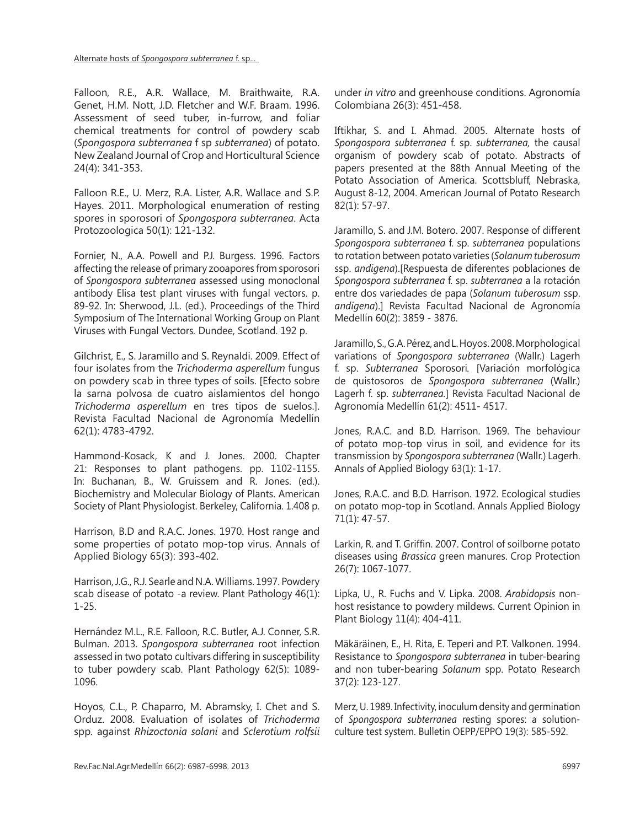Alternate hosts of *Spongospora subterranea* f. sp...

Falloon, R.E., A.R. Wallace, M. Braithwaite, R.A. Genet, H.M. Nott, J.D. Fletcher and W.F. Braam. 1996. Assessment of seed tuber, in-furrow, and foliar chemical treatments for control of powdery scab (*Spongospora subterranea* f sp *subterranea*) of potato. New Zealand Journal of Crop and Horticultural Science 24(4): 341-353.

Falloon R.E., U. Merz, R.A. Lister, A.R. Wallace and S.P. Hayes. 2011. Morphological enumeration of resting spores in sporosori of *Spongospora subterranea*. Acta Protozoologica 50(1): 121-132.

Fornier, N., A.A. Powell and P.J. Burgess. 1996. Factors affecting the release of primary zooapores from sporosori of *Spongospora subterranea* assessed using monoclonal antibody Elisa test plant viruses with fungal vectors. p. 89-92. In: Sherwood, J.L. (ed.). Proceedings of the Third Symposium of The International Working Group on Plant Viruses with Fungal Vectors*.* Dundee, Scotland. 192 p.

Gilchrist, E., S. Jaramillo and S. Reynaldi. 2009. Effect of four isolates from the *Trichoderma asperellum* fungus on powdery scab in three types of soils. [Efecto sobre la sarna polvosa de cuatro aislamientos del hongo *Trichoderma asperellum* en tres tipos de suelos.]. Revista Facultad Nacional de Agronomía Medellín 62(1): 4783-4792.

Hammond-Kosack, K and J. Jones. 2000. Chapter 21: Responses to plant pathogens. pp. 1102-1155. In: Buchanan, B., W. Gruissem and R. Jones. (ed.). Biochemistry and Molecular Biology of Plants. American Society of Plant Physiologist. Berkeley, California. 1.408 p.

Harrison, B.D and R.A.C. Jones. 1970. Host range and some properties of potato mop-top virus. Annals of Applied Biology 65(3): 393-402.

Harrison, J.G., R.J. Searle and N.A. Williams. 1997. Powdery scab disease of potato -a review. Plant Pathology 46(1): 1-25.

Hernández M.L., R.E. Falloon, R.C. Butler, A.J. Conner, S.R. Bulman. 2013. *Spongospora subterranea* root infection assessed in two potato cultivars differing in susceptibility to tuber powdery scab. Plant Pathology 62(5): 1089- 1096.

Hoyos, C.L., P. Chaparro, M. Abramsky, I. Chet and S. Orduz. 2008. Evaluation of isolates of *Trichoderma* spp*.* against *Rhizoctonia solani* and *Sclerotium rolfsii* under *in vitro* and greenhouse conditions. Agronomía Colombiana 26(3): 451-458.

Iftikhar, S. and I. Ahmad. 2005. Alternate hosts of *Spongospora subterranea* f. sp. *subterranea,* the causal organism of powdery scab of potato. Abstracts of papers presented at the 88th Annual Meeting of the Potato Association of America. Scottsbluff, Nebraska, August 8-12, 2004. American Journal of Potato Research 82(1): 57-97.

Jaramillo, S. and J.M. Botero. 2007. Response of different *Spongospora subterranea* f. sp. *subterranea* populations to rotation between potato varieties (*Solanum tuberosum* ssp. *andigena*).[Respuesta de diferentes poblaciones de *Spongospora subterranea* f. sp. *subterranea* a la rotación entre dos variedades de papa (*Solanum tuberosum* ssp. *andigena*).] Revista Facultad Nacional de Agronomía Medellín 60(2): 3859 - 3876.

Jaramillo, S., G.A. Pérez, and L. Hoyos. 2008. Morphological variations of *Spongospora subterranea* (Wallr.) Lagerh f. sp. *Subterranea* Sporosori*.* [Variación morfológica de quistosoros de *Spongospora subterranea* (Wallr.) Lagerh f. sp. *subterranea.*] Revista Facultad Nacional de Agronomía Medellín 61(2): 4511- 4517.

Jones, R.A.C. and B.D. Harrison. 1969. The behaviour of potato mop-top virus in soil, and evidence for its transmission by *Spongospora subterranea* (Wallr.) Lagerh. Annals of Applied Biology 63(1): 1-17.

Jones, R.A.C. and B.D. Harrison. 1972. Ecological studies on potato mop-top in Scotland. Annals Applied Biology 71(1): 47-57.

Larkin, R. and T. Griffin. 2007. Control of soilborne potato diseases using *Brassica* green manures. Crop Protection 26(7): 1067-1077.

Lipka, U., R. Fuchs and V. Lipka. 2008. *Arabidopsis* nonhost resistance to powdery mildews. Current Opinion in Plant Biology 11(4): 404-411.

Mäkäräinen, E., H. Rita, E. Teperi and P.T. Valkonen. 1994. Resistance to *Spongospora subterranea* in tuber-bearing and non tuber-bearing *Solanum* spp. Potato Research 37(2): 123-127.

Merz, U. 1989. Infectivity, inoculum density and germination of *Spongospora subterranea* resting spores: a solutionculture test system. Bulletin OEPP/EPPO 19(3): 585-592.